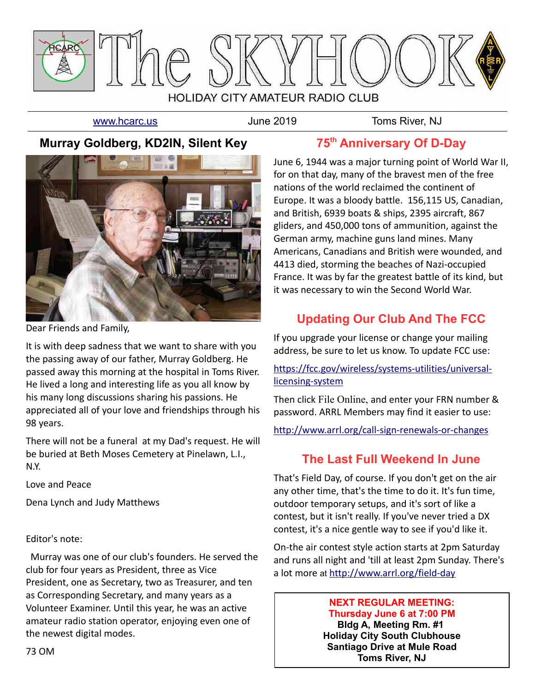

[www.hcarc.us](http://www.hcarc.us/) **June 2019** June 2019 Toms River, NJ

## **Murray Goldberg, KD2IN, Silent Key**



Dear Friends and Family,

It is with deep sadness that we want to share with you the passing away of our father, Murray Goldberg. He passed away this morning at the hospital in Toms River. He lived a long and interesting life as you all know by his many long discussions sharing his passions. He appreciated all of your love and friendships through his 98 years.

There will not be a funeral at my Dad's request. He will be buried at Beth Moses Cemetery at Pinelawn, L.I., N.Y.

Love and Peace

Dena Lynch and Judy Matthews

#### Editor's note:

 Murray was one of our club's founders. He served the club for four years as President, three as Vice President, one as Secretary, two as Treasurer, and ten as Corresponding Secretary, and many years as a Volunteer Examiner. Until this year, he was an active amateur radio station operator, enjoying even one of the newest digital modes.

**75th Anniversary Of D-Day**

June 6, 1944 was a major turning point of World War II, for on that day, many of the bravest men of the free nations of the world reclaimed the continent of Europe. It was a bloody battle. 156,115 US, Canadian, and British, 6939 boats & ships, 2395 aircraft, 867 gliders, and 450,000 tons of ammunition, against the German army, machine guns land mines. Many Americans, Canadians and British were wounded, and 4413 died, storming the beaches of Nazi-occupied France. It was by far the greatest battle of its kind, but it was necessary to win the Second World War.

## **Updating Our Club And The FCC**

If you upgrade your license or change your mailing address, be sure to let us know. To update FCC use:

[https://fcc.gov/wireless/systems-utilities/universal](https://fcc.gov/wireless/systems-utilities/universal-licensing-system)[licensing-system](https://fcc.gov/wireless/systems-utilities/universal-licensing-system)

Then click File Online, and enter your FRN number & password. ARRL Members may find it easier to use:

<http://www.arrl.org/call-sign-renewals-or-changes>

## **The Last Full Weekend In June**

That's Field Day, of course. If you don't get on the air any other time, that's the time to do it. It's fun time, outdoor temporary setups, and it's sort of like a contest, but it isn't really. If you've never tried a DX contest, it's a nice gentle way to see if you'd like it.

On-the air contest style action starts at 2pm Saturday and runs all night and 'till at least 2pm Sunday. There's a lot more at <http://www.arrl.org/field-day>

#### **NEXT REGULAR MEETING: Thursday June 6 at 7:00 PM**

**Bldg A, Meeting Rm. #1 Holiday City South Clubhouse Santiago Drive at Mule Road Toms River, NJ**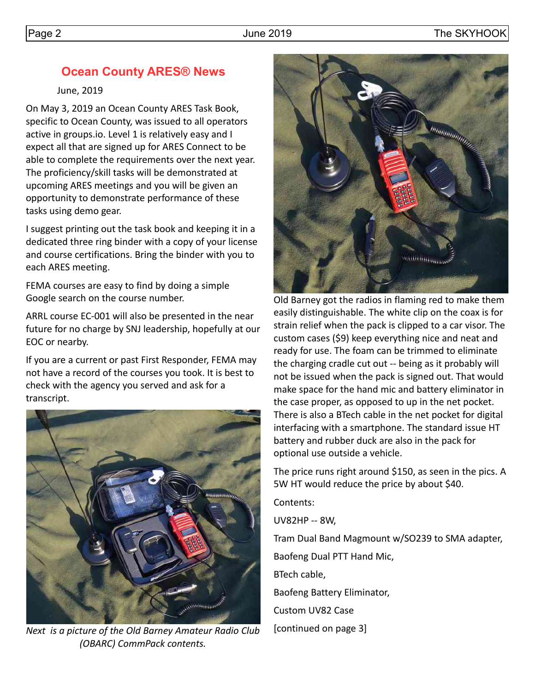## **Ocean County ARES® News**

June, 2019

On May 3, 2019 an Ocean County ARES Task Book, specific to Ocean County, was issued to all operators active in groups.io. Level 1 is relatively easy and I expect all that are signed up for ARES Connect to be able to complete the requirements over the next year. The proficiency/skill tasks will be demonstrated at upcoming ARES meetings and you will be given an opportunity to demonstrate performance of these tasks using demo gear.

I suggest printing out the task book and keeping it in a dedicated three ring binder with a copy of your license and course certifications. Bring the binder with you to each ARES meeting.

FEMA courses are easy to find by doing a simple Google search on the course number.

ARRL course EC-001 will also be presented in the near future for no charge by SNJ leadership, hopefully at our EOC or nearby.

If you are a current or past First Responder, FEMA may not have a record of the courses you took. It is best to check with the agency you served and ask for a transcript.



*Next is a picture of the Old Barney Amateur Radio Club (OBARC) CommPack contents.*



Old Barney got the radios in flaming red to make them easily distinguishable. The white clip on the coax is for strain relief when the pack is clipped to a car visor. The custom cases (\$9) keep everything nice and neat and ready for use. The foam can be trimmed to eliminate the charging cradle cut out -- being as it probably will not be issued when the pack is signed out. That would make space for the hand mic and battery eliminator in the case proper, as opposed to up in the net pocket. There is also a BTech cable in the net pocket for digital interfacing with a smartphone. The standard issue HT battery and rubber duck are also in the pack for optional use outside a vehicle.

The price runs right around \$150, as seen in the pics. A 5W HT would reduce the price by about \$40.

Contents:

UV82HP -- 8W,

Tram Dual Band Magmount w/SO239 to SMA adapter, Baofeng Dual PTT Hand Mic, BTech cable,

Baofeng Battery Eliminator,

Custom UV82 Case

[continued on page 3]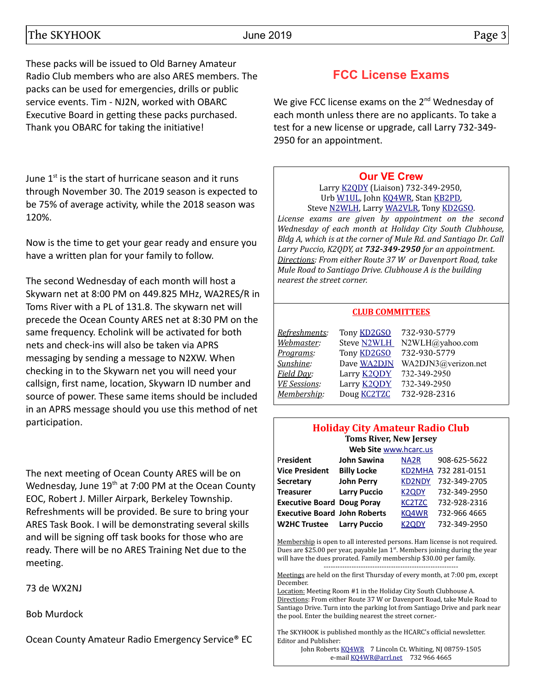These packs will be issued to Old Barney Amateur Radio Club members who are also ARES members. The packs can be used for emergencies, drills or public service events. Tim - NJ2N, worked with OBARC Executive Board in getting these packs purchased. Thank you OBARC for taking the initiative!

June  $1<sup>st</sup>$  is the start of hurricane season and it runs through November 30. The 2019 season is expected to be 75% of average activity, while the 2018 season was 120%.

Now is the time to get your gear ready and ensure you have a written plan for your family to follow.

The second Wednesday of each month will host a Skywarn net at 8:00 PM on 449.825 MHz, WA2RES/R in Toms River with a PL of 131.8. The skywarn net will precede the Ocean County ARES net at 8:30 PM on the same frequency. Echolink will be activated for both nets and check-ins will also be taken via APRS messaging by sending a message to N2XW. When checking in to the Skywarn net you will need your callsign, first name, location, Skywarn ID number and source of power. These same items should be included in an APRS message should you use this method of net participation.

The next meeting of Ocean County ARES will be on Wednesday, June 19<sup>th</sup> at 7:00 PM at the Ocean County EOC, Robert J. Miller Airpark, Berkeley Township. Refreshments will be provided. Be sure to bring your ARES Task Book. I will be demonstrating several skills and will be signing off task books for those who are ready. There will be no ARES Training Net due to the meeting.

73 de WX2NJ

Bob Murdock

Ocean County Amateur Radio Emergency Service® EC

## **FCC License Exams**

We give FCC license exams on the  $2^{nd}$  Wednesday of each month unless there are no applicants. To take a test for a new license or upgrade, call Larry 732-349- 2950 for an appointment.

#### **[Our VE Crew](mailto:lpuccio1@comcast.net?subject=VE)**

Larry [K2QDY](mailto:lpuccio1@comcast.net) (Liaison) 732-349-2950, Urb [W1UL,](mailto:urb@W1UL.com) John [KQ4WR,](mailto:kq4wr@arrl.net) Stan [KB2PD,](mailto:kb2pd@hotmail.com) Steve [N2WLH,](mailto:n2wlh@yahoo.com) Larry [WA2VLR,](mailto:lloscalz@optonline.net) Tony [KD2GSO.](mailto:tonyk613@comcast.net) *License exams are given by appointment on the second Wednesday of each month at Holiday City South Clubhouse, Bldg A, which is at the corner of Mule Rd. and Santiago Dr. Call Larry Puccio, K2QDY, at 732-349-2950 for an appointment. Directions: From either Route 37 W or Davenport Road, take Mule Road to Santiago Drive. Clubhouse A is the building* 

### *nearest the street corner.*

#### **CLUB COMMITTEES**

#### **Holiday City Amateur Radio Club Toms River, New Jersey**

| Web Site www.hcarc.us               |                     |                                 |                     |  |  |  |  |  |
|-------------------------------------|---------------------|---------------------------------|---------------------|--|--|--|--|--|
| President                           | <b>John Sawina</b>  | NA <sub>2</sub> R               | 908-625-5622        |  |  |  |  |  |
| <b>Vice President</b>               | <b>Billy Locke</b>  |                                 | KD2MHA 732 281-0151 |  |  |  |  |  |
| <b>Secretary</b>                    | <b>John Perry</b>   | <b>KD2NDY</b>                   | 732-349-2705        |  |  |  |  |  |
| <b>Treasurer</b>                    | <b>Larry Puccio</b> | K <sub>2</sub> Q <sub>D</sub> Y | 732-349-2950        |  |  |  |  |  |
| <b>Executive Board Doug Poray</b>   |                     | <b>KC2TZC</b>                   | 732-928-2316        |  |  |  |  |  |
| <b>Executive Board John Roberts</b> |                     | KQ4WR                           | 732-966 4665        |  |  |  |  |  |
| <b>W2HC Trustee</b>                 | <b>Larry Puccio</b> | K <sub>2</sub> ODY              | 732-349-2950        |  |  |  |  |  |

Membership is open to all interested persons. Ham license is not required. Dues are \$25.00 per year, payable Jan  $1<sup>st</sup>$ . Members joining during the year will have the dues prorated. Family membership \$30.00 per family. ----------------------------------------------------------

Meetings are held on the first Thursday of every month, at 7:00 pm, except December.

Location: Meeting Room #1 in the Holiday City South Clubhouse A. Directions: From either Route 37 W or Davenport Road, take Mule Road to Santiago Drive. Turn into the parking lot from Santiago Drive and park near the pool. Enter the building nearest the street corner.-

The SKYHOOK is published monthly as the HCARC's official newsletter. Editor and Publisher:

John Roberts [KQ4WR](mailto:kq4wr@arrl.net) 7 Lincoln Ct. Whiting, NJ 08759-1505 e-mail [KQ4WR@arrl.net](mailto:KQ4WR@arrl.net) 732 966 4665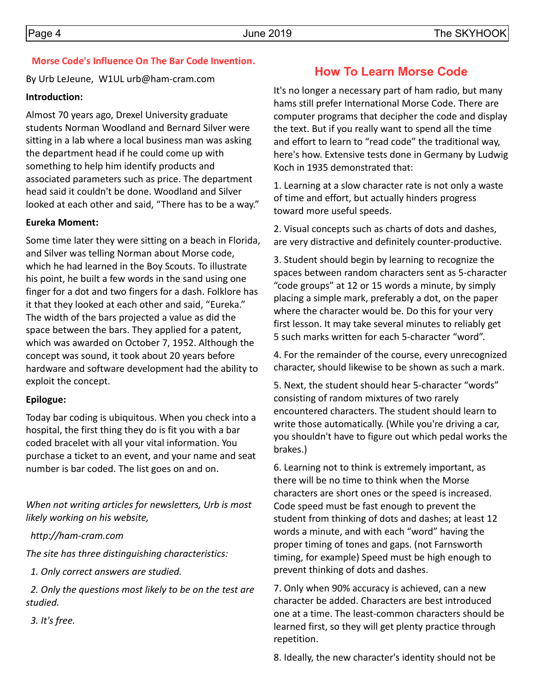#### **Morse Code's Influence On The Bar Code Invention.**

By Urb LeJeune, W1UL urb@ham-cram.com

#### **Introduction:**

Almost 70 years ago, Drexel University graduate students Norman Woodland and Bernard Silver were sitting in a lab where a local business man was asking the department head if he could come up with something to help him identify products and associated parameters such as price. The department head said it couldn't be done. Woodland and Silver looked at each other and said, "There has to be a way."

#### **Eureka Moment:**

Some time later they were sitting on a beach in Florida, and Silver was telling Norman about Morse code, which he had learned in the Boy Scouts. To illustrate his point, he built a few words in the sand using one finger for a dot and two fingers for a dash. Folklore has it that they looked at each other and said, "Eureka." The width of the bars projected a value as did the space between the bars. They applied for a patent, which was awarded on October 7, 1952. Although the concept was sound, it took about 20 years before hardware and software development had the ability to exploit the concept.

#### **Epilogue:**

Today bar coding is ubiquitous. When you check into a hospital, the first thing they do is fit you with a bar coded bracelet with all your vital information. You purchase a ticket to an event, and your name and seat number is bar coded. The list goes on and on.

*When not writing articles for newsletters, Urb is most likely working on his website,*

 *http://ham-cram.com*

*The site has three distinguishing characteristics:*

 *1. Only correct answers are studied.*

 *2. Only the questions most likely to be on the test are studied.*

 *3. It's free.*

## **How To Learn Morse Code**

It's no longer a necessary part of ham radio, but many hams still prefer International Morse Code. There are computer programs that decipher the code and display the text. But if you really want to spend all the time and effort to learn to "read code" the traditional way, here's how. Extensive tests done in Germany by Ludwig Koch in 1935 demonstrated that:

1. Learning at a slow character rate is not only a waste of time and effort, but actually hinders progress toward more useful speeds.

2. Visual concepts such as charts of dots and dashes, are very distractive and definitely counter-productive.

3. Student should begin by learning to recognize the spaces between random characters sent as 5-character "code groups" at 12 or 15 words a minute, by simply placing a simple mark, preferably a dot, on the paper where the character would be. Do this for your very first lesson. It may take several minutes to reliably get 5 such marks written for each 5-character "word".

4. For the remainder of the course, every unrecognized character, should likewise to be shown as such a mark.

5. Next, the student should hear 5-character "words" consisting of random mixtures of two rarely encountered characters. The student should learn to write those automatically. (While you're driving a car, you shouldn't have to figure out which pedal works the brakes.)

6. Learning not to think is extremely important, as there will be no time to think when the Morse characters are short ones or the speed is increased. Code speed must be fast enough to prevent the student from thinking of dots and dashes; at least 12 words a minute, and with each "word" having the proper timing of tones and gaps. (not Farnsworth timing, for example) Speed must be high enough to prevent thinking of dots and dashes.

7. Only when 90% accuracy is achieved, can a new character be added. Characters are best introduced one at a time. The least-common characters should be learned first, so they will get plenty practice through repetition.

8. Ideally, the new character's identity should not be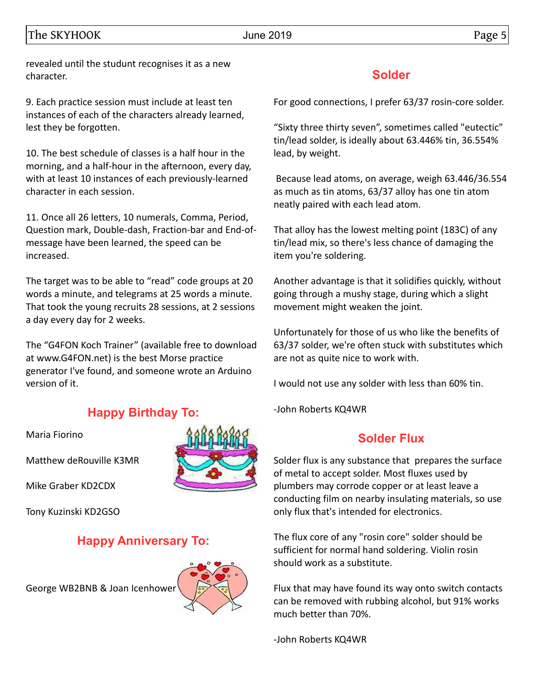The SKYHOOK Data between the state of the SKYHOOK and the SKYHOOK of the SKYHOOK Data between the state of the S

revealed until the studunt recognises it as a new character.

9. Each practice session must include at least ten instances of each of the characters already learned, lest they be forgotten.

10. The best schedule of classes is a half hour in the morning, and a half-hour in the afternoon, every day, with at least 10 instances of each previously-learned character in each session.

11. Once all 26 letters, 10 numerals, Comma, Period, Question mark, Double-dash, Fraction-bar and End-ofmessage have been learned, the speed can be increased.

The target was to be able to "read" code groups at 20 words a minute, and telegrams at 25 words a minute. That took the young recruits 28 sessions, at 2 sessions a day every day for 2 weeks.

The "G4FON Koch Trainer" (available free to download at www.G4FON.net) is the best Morse practice generator I've found, and someone wrote an Arduino version of it.

## **Happy Birthday To:**

Maria Fiorino

Matthew deRouville K3MR

Mike Graber KD2CDX

Tony Kuzinski KD2GSO

## **Happy Anniversary To:**

George WB2BNB & Joan Icenhower



### **Solder**

For good connections, I prefer 63/37 rosin-core solder.

"Sixty three thirty seven", sometimes called "eutectic" tin/lead solder, is ideally about 63.446% tin, 36.554% lead, by weight.

 Because lead atoms, on average, weigh 63.446/36.554 as much as tin atoms, 63/37 alloy has one tin atom neatly paired with each lead atom.

That alloy has the lowest melting point (183C) of any tin/lead mix, so there's less chance of damaging the item you're soldering.

Another advantage is that it solidifies quickly, without going through a mushy stage, during which a slight movement might weaken the joint.

Unfortunately for those of us who like the benefits of 63/37 solder, we're often stuck with substitutes which are not as quite nice to work with.

I would not use any solder with less than 60% tin.

-John Roberts KQ4WR

## **Solder Flux**

Solder flux is any substance that prepares the surface of metal to accept solder. Most fluxes used by plumbers may corrode copper or at least leave a conducting film on nearby insulating materials, so use only flux that's intended for electronics.

The flux core of any "rosin core" solder should be sufficient for normal hand soldering. Violin rosin should work as a substitute.

Flux that may have found its way onto switch contacts can be removed with rubbing alcohol, but 91% works much better than 70%.

-John Roberts KQ4WR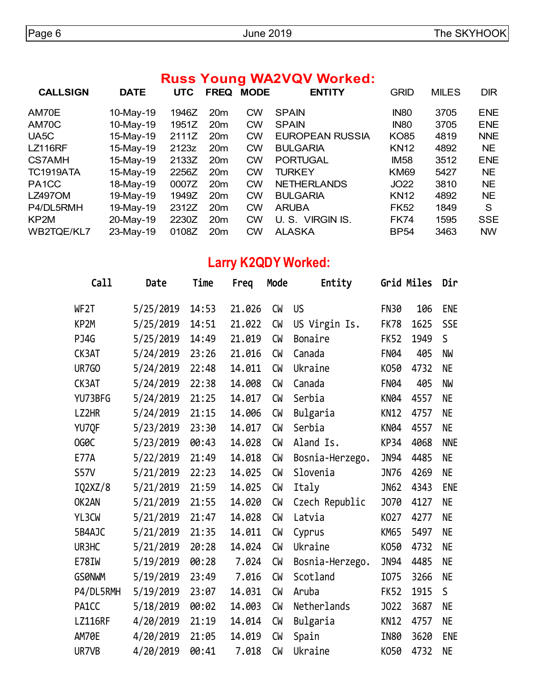## **Russ Young WA2VQV Worked:**

| <b>CALLSIGN</b>    | <b>DATE</b> | <b>UTC</b> | <b>FREQ</b>     | <b>MODE</b> | <b>ENTITY</b>          | <b>GRID</b> | <b>MILES</b> | <b>DIR</b> |
|--------------------|-------------|------------|-----------------|-------------|------------------------|-------------|--------------|------------|
| AM70E              | 10-May-19   | 1946Z      | 20 <sub>m</sub> | <b>CW</b>   | <b>SPAIN</b>           | <b>IN80</b> | 3705         | <b>ENE</b> |
| AM70C              | 10-May-19   | 1951Z      | 20 <sub>m</sub> | <b>CW</b>   | <b>SPAIN</b>           | <b>IN80</b> | 3705         | <b>ENE</b> |
| UA <sub>5</sub> C  | 15-May-19   | 2111Z      | 20 <sub>m</sub> | <b>CW</b>   | <b>EUROPEAN RUSSIA</b> | <b>KO85</b> | 4819         | <b>NNE</b> |
| <b>LZ116RF</b>     | 15-May-19   | 2123z      | 20 <sub>m</sub> | <b>CW</b>   | <b>BULGARIA</b>        | <b>KN12</b> | 4892         | NE.        |
| <b>CS7AMH</b>      | 15-May-19   | 2133Z      | 20 <sub>m</sub> | <b>CW</b>   | <b>PORTUGAL</b>        | <b>IM58</b> | 3512         | <b>ENE</b> |
| <b>TC1919ATA</b>   | 15-May-19   | 2256Z      | 20 <sub>m</sub> | <b>CW</b>   | TURKEY                 | <b>KM69</b> | 5427         | <b>NE</b>  |
| PA <sub>1</sub> CC | 18-May-19   | 0007Z      | 20 <sub>m</sub> | <b>CW</b>   | <b>NETHERLANDS</b>     | <b>JO22</b> | 3810         | <b>NE</b>  |
| <b>LZ497OM</b>     | 19-May-19   | 1949Z      | 20 <sub>m</sub> | <b>CW</b>   | <b>BULGARIA</b>        | <b>KN12</b> | 4892         | <b>NE</b>  |
| P4/DL5RMH          | 19-May-19   | 2312Z      | 20 <sub>m</sub> | <b>CW</b>   | <b>ARUBA</b>           | <b>FK52</b> | 1849         | S          |
| KP2M               | 20-May-19   | 2230Z      | 20 <sub>m</sub> | <b>CW</b>   | U.S. VIRGIN IS.        | <b>FK74</b> | 1595         | <b>SSE</b> |
| WB2TQE/KL7         | 23-May-19   | 0108Z      | 20 <sub>m</sub> | <b>CW</b>   | <b>ALASKA</b>          | <b>BP54</b> | 3463         | <b>NW</b>  |

# **Larry K2QDY Worked:**

| Call               | Date      | Time  | Freq   | Mode      | Entity          |             | Grid Miles | Dir         |
|--------------------|-----------|-------|--------|-----------|-----------------|-------------|------------|-------------|
| WF <sub>2</sub> T  | 5/25/2019 | 14:53 | 21.026 | <b>CW</b> | <b>US</b>       | <b>FN30</b> | 106        | <b>ENE</b>  |
| KP2M               | 5/25/2019 | 14:51 | 21.022 | CW        | US Virgin Is.   | <b>FK78</b> | 1625       | <b>SSE</b>  |
| PJ4G               | 5/25/2019 | 14:49 | 21.019 | <b>CW</b> | Bonaire         | <b>FK52</b> | 1949       | S           |
| CK3AT              | 5/24/2019 | 23:26 | 21.016 | <b>CW</b> | Canada          | <b>FN04</b> | 405        | NW          |
| <b>UR7GO</b>       | 5/24/2019 | 22:48 | 14.011 | <b>CW</b> | Ukraine         | K050        | 4732       | <b>NE</b>   |
| CK3AT              | 5/24/2019 | 22:38 | 14.008 | <b>CW</b> | Canada          | <b>FN04</b> | 405        | NW          |
| YU73BFG            | 5/24/2019 | 21:25 | 14.017 | CW        | Serbia          | <b>KN04</b> | 4557       | <b>NE</b>   |
| LZ2HR              | 5/24/2019 | 21:15 | 14.006 | <b>CW</b> | Bulgaria        | <b>KN12</b> | 4757       | <b>NE</b>   |
| YU7QF              | 5/23/2019 | 23:30 | 14.017 | <b>CW</b> | Serbia          | <b>KN04</b> | 4557       | <b>NE</b>   |
| OG <sub>O</sub> C  | 5/23/2019 | 00:43 | 14.028 | <b>CW</b> | Aland Is.       | <b>KP34</b> | 4068       | <b>NNE</b>  |
| <b>E77A</b>        | 5/22/2019 | 21:49 | 14.018 | CW        | Bosnia-Herzego. | <b>JN94</b> | 4485       | <b>NE</b>   |
| <b>S57V</b>        | 5/21/2019 | 22:23 | 14.025 | CW        | Slovenia        | <b>JN76</b> | 4269       | <b>NE</b>   |
| IQ2XZ/8            | 5/21/2019 | 21:59 | 14.025 | CW        | Italy           | <b>JN62</b> | 4343       | <b>ENE</b>  |
| OK <sub>2</sub> AN | 5/21/2019 | 21:55 | 14.020 | <b>CW</b> | Czech Republic  | J070        | 4127       | <b>NE</b>   |
| YL3CW              | 5/21/2019 | 21:47 | 14.028 | <b>CW</b> | Latvia          | K027        | 4277       | <b>NE</b>   |
| 5B4AJC             | 5/21/2019 | 21:35 | 14.011 | <b>CM</b> | Cyprus          | <b>KM65</b> | 5497       | NE          |
| UR3HC              | 5/21/2019 | 20:28 | 14.024 | <b>CW</b> | Ukraine         | K050        | 4732       | <b>NE</b>   |
| E78IW              | 5/19/2019 | 00:28 | 7.024  | <b>CW</b> | Bosnia-Herzego. | <b>JN94</b> | 4485       | <b>NE</b>   |
| <b>GSØNWM</b>      | 5/19/2019 | 23:49 | 7.016  | CW        | Scotland        | I075        | 3266       | <b>NE</b>   |
| P4/DL5RMH          | 5/19/2019 | 23:07 | 14.031 | <b>CW</b> | Aruba           | <b>FK52</b> | 1915       | $\mathsf S$ |
| PA1CC              | 5/18/2019 | 00:02 | 14.003 | <b>CW</b> | Netherlands     | <b>J022</b> | 3687       | <b>NE</b>   |
| <b>LZ116RF</b>     | 4/20/2019 | 21:19 | 14.014 | CW        | Bulgaria        | <b>KN12</b> | 4757       | NE          |
| <b>AM70E</b>       | 4/20/2019 | 21:05 | 14.019 | <b>CW</b> | Spain           | <b>IN80</b> | 3620       | <b>ENE</b>  |
| UR7VB              | 4/20/2019 | 00:41 | 7.018  | <b>CW</b> | Ukraine         | K050        | 4732       | <b>NE</b>   |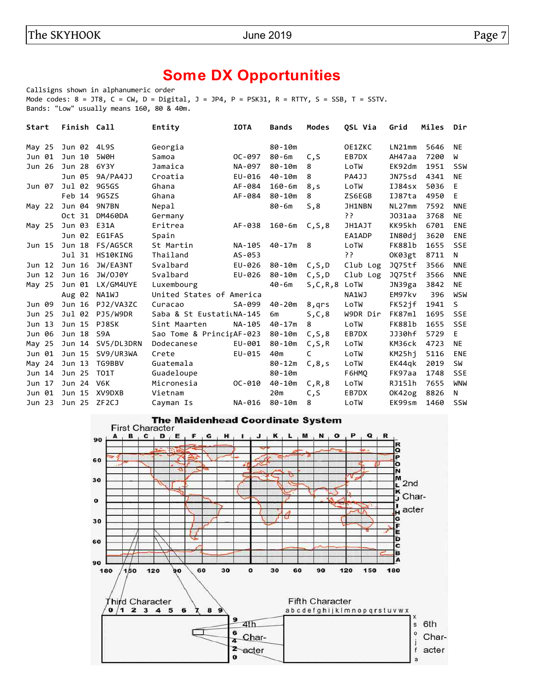# **Some DX Opportunities**

Callsigns shown in alphanumeric order Mode codes:  $8 = JTS$ ,  $C = CW$ ,  $D = Digital$ ,  $J = JPA$ ,  $P = PSK31$ ,  $R = RTTY$ ,  $S = SSB$ ,  $T = SSTV$ . Bands: "Low" usually means 160, 80 & 40m.

| Start  | Finish Call  |                    | Entity                   | <b>IOTA</b> | <b>Bands</b>         | <b>Modes</b> | OSL Via  | Grid               | Miles | Dir        |
|--------|--------------|--------------------|--------------------------|-------------|----------------------|--------------|----------|--------------------|-------|------------|
| May 25 | Jun 02       | 4L9S               | Georgia                  |             | $80 - 10m$           |              | OE1ZKC   | LN21mm             | 5646  | <b>NE</b>  |
| Jun 01 | Jun 10       | 5W0H               | Samoa                    | $OC - 097$  | $80 - 6m$            | C, S         | EB7DX    | AH47aa             | 7200  | W          |
| Jun 26 | Jun 28       | 6Y3Y               | Jamaica                  | NA-097      | $80 - 10m$           | 8            | LoTW     | EK92dm             | 1951  | <b>SSW</b> |
|        | Jun 05       | 9A/PA4JJ           | Croatia                  | EU-016      | $40 - 10m$           | 8            | PA4JJ    | JN75sd             | 4341  | <b>NE</b>  |
| Jun 07 | Jul 02       | 9G5GS              | Ghana                    | AF-084      | $160 - 6m$           | 8, s         | LoTW     | IJ84sx             | 5036  | E          |
|        | Feb 14 9G5ZS |                    | Ghana                    | AF-084      | $80 - 10m$           | 8            | ZS6EGB   | IJ87ta             | 4950  | E          |
| May 22 | Jun 04       | 9N7BN              | Nepal                    |             | $80 - 6m$            | S, 8         | JH1NBN   | NL27mm             | 7592  | <b>NNE</b> |
|        | Oct 31       | <b>DM460DA</b>     | Germany                  |             |                      |              | יִ?      | J <sub>031aa</sub> | 3768  | <b>NE</b>  |
| May 25 | Jun 03       | E31A               | Eritrea                  | AF-038      | $160 - 6m$ $C, S, 8$ |              | JH1AJT   | KK95kh             | 6701  | <b>ENE</b> |
|        | Jun 02       | EG1FAS             | Spain                    |             |                      |              | EA1ADP   | IN80dj             | 3620  | ENE        |
| Jun 15 | Jun 18       | FS/AG5CR           | St Martin                | NA-105      | $40 - 17m$           | 8            | LoTW     | <b>FK881b</b>      | 1655  | <b>SSE</b> |
|        | Jul 31       | HS10KING           | Thailand                 | AS-053      |                      |              | יִ?      | OK03gt             | 8711  | N          |
| Jun 12 | Jun 16       | JW/EA3NT           | Svalbard                 | EU-026      | 80-10m               | C, S, D      | Club Log | JQ75tf             | 3566  | <b>NNE</b> |
| Jun 12 | Jun 16       | JW/0J0Y            | Svalbard                 | EU-026      | $80 - 10m$           | C, S, D      | Club Log | JQ75tf             | 3566  | <b>NNE</b> |
| May 25 | Jun 01       | LX/GM4UYE          | Luxembourg               |             | 40-6m                | S, C, R, 8   | LoTW     | JN39ga             | 3842  | <b>NE</b>  |
|        | Aug 02       | <b>NA1WJ</b>       | United States of America |             |                      |              | NA1WJ    | EM97kv             | 396   | WSW        |
| Jun 09 | Jun 16       | PJ2/VA3ZC          | Curacao                  | SA-099      | $40 - 20m$           | 8,qrs        | LoTW     | FK52jf             | 1941  | S          |
| Jun 25 | Jul 02       | PJ5/W9DR           | Saba & St EustatiLNA-145 |             | 6m                   | S,C,8        | W9DR Dir | FK87ml             | 1695  | <b>SSE</b> |
| Jun 13 | Jun 15       | PJ8SK              | Sint Maarten             | NA-105      | $40 - 17m$           | 8            | LoTW     | FK881b             | 1655  | <b>SSE</b> |
| Jun 06 | Jun 18       | S <sub>9</sub> A   | Sao Tome & PrincitAF-023 |             | 80-10m               | C, S, 8      | EB7DX    | JJ30hf             | 5729  | E          |
| May 25 | Jun 14       | SV5/DL3DRN         | Dodecanese               | EU-001      | $80 - 10m$           | C, S, R      | LoTW     | KM36ck             | 4723  | <b>NE</b>  |
| Jun 01 | Jun 15       | SV9/UR3WA          | Crete                    | EU-015      | 40m                  | C            | LoTW     | KM25hi             | 5116  | ENE        |
| May 24 | Jun 13       | TG9BBV             | Guatemala                |             | $80 - 12m$           | C, 8, s      | LoTW     | EK44gk             | 2019  | <b>SW</b>  |
| Jun 14 | Jun 25       | T01T               | Guadeloupe               |             | $80 - 10m$           |              | F6HMO    | FK97aa             | 1748  | <b>SSE</b> |
| Jun 17 | Jun 24       | V6K                | Micronesia               | $OC - 010$  | $40 - 10m$           | C, R, 8      | LoTW     | RJ15lh             | 7655  | <b>WNW</b> |
| Jun 01 | Jun 15       | XV9DXB             | Vietnam                  |             | 20m                  | C,S          | EB7DX    | OK42og             | 8826  | N          |
| Jun 23 | Jun 25       | ZF <sub>2</sub> CJ | Cayman Is                | NA-016      | $80 - 10m$           | 8            | LoTW     | EK99sm             | 1460  | <b>SSW</b> |